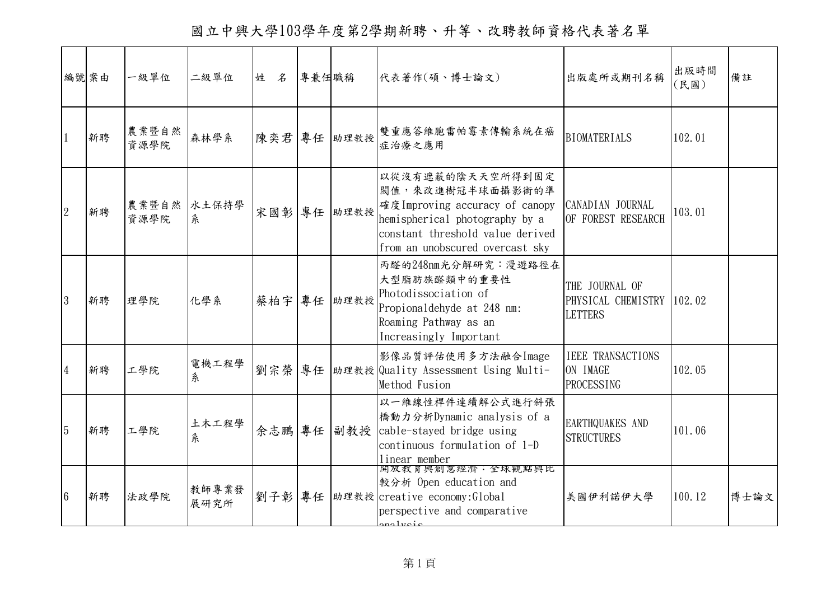國立中興大學103學年度第2學期新聘、升等、改聘教師資格代表著名單

|                 | 編號案由 | 一級單位          | 二級單位          | 姓<br>$\mathcal{Z}$ | 專兼任職稱 |             | 代表著作(碩、博士論文)                                                                                                                                                                     | 出版處所或期刊名稱                                                     | 出版時間<br>(民國) | 備註   |
|-----------------|------|---------------|---------------|--------------------|-------|-------------|----------------------------------------------------------------------------------------------------------------------------------------------------------------------------------|---------------------------------------------------------------|--------------|------|
|                 | 新聘   | 農業暨自然<br>資源學院 | 森林學系          | 陳奕君 專任             |       | 助理教授        | 雙重應答維胞雷帕霉素傳輸系統在癌<br>症治療之應用                                                                                                                                                       | <b>BIOMATERIALS</b>                                           | 102.01       |      |
| $\overline{2}$  | 新聘   | 農業暨自然<br>資源學院 | 水土保持學<br>糸    |                    |       | 宋國彰 專任 助理教授 | 以從沒有遮蔽的陰天天空所得到固定<br>閥值,來改進樹冠半球面攝影術的準<br>確度 Improving accuracy of canopy<br>hemispherical photography by a<br>constant threshold value derived<br>from an unobscured overcast sky | CANADIAN JOURNAL<br>OF FOREST RESEARCH                        | 103.01       |      |
| 3               | 新聘   | 理學院           | 化學系           | 蔡柏宇                | 專任    | 助理教授        | 丙醛的248nm光分解研究: 漫遊路徑在<br>大型脂肪族醛類中的重要性<br>Photodissociation of<br>Propionaldehyde at 248 nm:<br>Roaming Pathway as an<br>Increasingly Important                                    | THE JOURNAL OF<br>PHYSICAL CHEMISTRY 102.02<br><b>LETTERS</b> |              |      |
| $\overline{4}$  | 新聘   | 工學院           | 電機工程學<br>条    | 劉宗榮                | 專任    |             | 影像品質評估使用多方法融合Image<br>助理教授 Quality Assessment Using Multi-<br>Method Fusion                                                                                                      | <b>IEEE TRANSACTIONS</b><br>ON IMAGE<br><b>PROCESSING</b>     | 102.05       |      |
| $\overline{5}$  | 新聘   | 工學院           | 土木工程學<br>糸    | 余志鵬 專任             |       |             | 以一維線性桿件連續解公式進行斜張<br>橋動力分析Dynamic analysis of a<br>副教授 cable-stayed bridge using<br>continuous formulation of 1-D<br>linear member                                                | EARTHQUAKES AND<br><b>STRUCTURES</b>                          | 101.06       |      |
| $6\phantom{.}6$ | 新聘   | 法政學院          | 教師專業發<br>展研究所 | 劉子彰 專任             |       |             | <b>開放教育與創意經濟·全球觀點與比</b><br>較分析 Open education and<br>助理教授 creative economy: Global<br>perspective and comparative<br>relucio                                                     | 美國伊利諾伊大學                                                      | 100.12       | 博士論文 |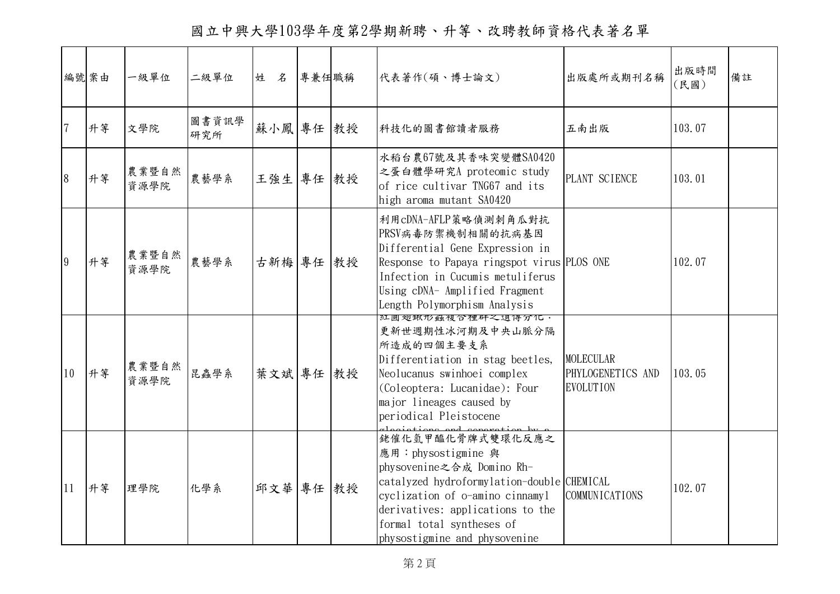國立中興大學103學年度第2學期新聘、升等、改聘教師資格代表著名單

|                | 編號案由 | 一級單位          | 二級單位         | 姓 名       | 專兼任職稱 | 代表著作(碩、博士論文)                                                                                                                                                                                                                                            | 出版處所或期刊名稱                                                 | 出版時間<br>(民國) | 備註 |
|----------------|------|---------------|--------------|-----------|-------|---------------------------------------------------------------------------------------------------------------------------------------------------------------------------------------------------------------------------------------------------------|-----------------------------------------------------------|--------------|----|
| $\overline{7}$ | 升等   | 文學院           | 圖書資訊學<br>研究所 | 蘇小鳳 專任 教授 |       | 科技化的圖書館讀者服務                                                                                                                                                                                                                                             | 五南出版                                                      | 103.07       |    |
| 8              | 升等   | 農業暨自然<br>資源學院 | 農藝學系         | 王強生       | 專任 教授 | 水稻台農67號及其香味突變體SA0420<br>之蛋白體學研究A proteomic study<br>of rice cultivar TNG67 and its<br>high aroma mutant SA0420                                                                                                                                          | PLANT SCIENCE                                             | 103.01       |    |
| 9              | 升等   | 農業暨自然<br>資源學院 | 農藝學系         | 古新梅 專任 教授 |       | 利用cDNA-AFLP策略偵測刺角瓜對抗<br>PRSV病毒防禦機制相關的抗病基因<br>Differential Gene Expression in<br>Response to Papaya ringspot virus PLOS ONE<br>Infection in Cucumis metuliferus<br>Using cDNA- Amplified Fragment<br>Length Polymorphism Analysis                        |                                                           | 102.07       |    |
| 10             | 升等   | 農業暨自然<br>資源學院 | 昆蟲學系         | 葉文斌 專任 教授 |       | 紅圓翅鍬形蝨複合裡矸之退得分化。<br>更新世週期性冰河期及中央山脈分隔<br>所造成的四個主要支系<br>Differentiation in stag beetles,<br>Neolucanus swinhoei complex<br>(Coleoptera: Lucanidae): Four<br>major lineages caused by<br>periodical Pleistocene                                            | <b>MOLECULAR</b><br>PHYLOGENETICS AND<br><b>EVOLUTION</b> | 103.05       |    |
| 11             | 升等   | 理學院           | 化學系          | 邱文華 專任 教授 |       | 銠催化氫甲醯化骨牌式雙環化反應之<br>應用: physostigmine 與<br>physovenine之合成 Domino Rh-<br>catalyzed hydroformylation-double CHEMICAL<br>cyclization of o-amino cinnamyl<br>derivatives: applications to the<br>formal total syntheses of<br>physostigmine and physovenine | COMMUNICATIONS                                            | 102.07       |    |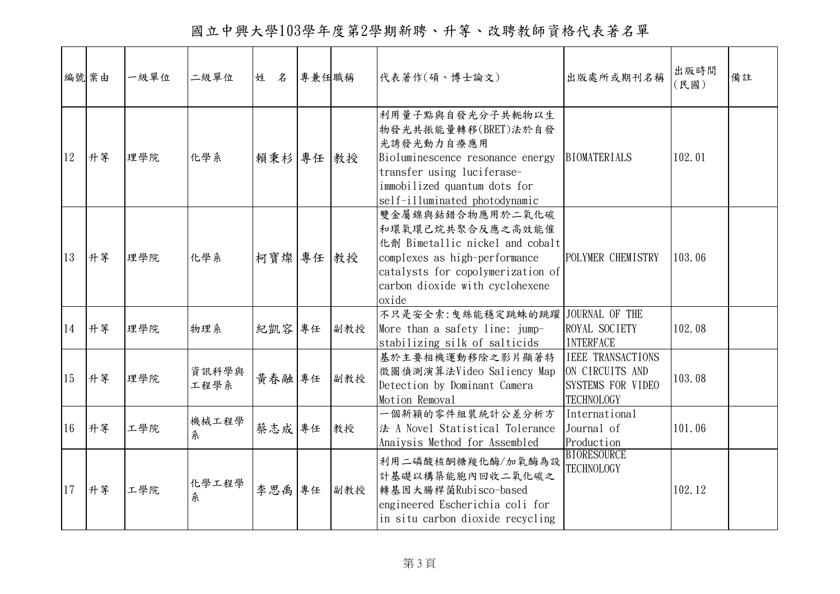國立中興大學103學年度第2學期新聘、升等、改聘教師資格代表著名單

|    | 編號案由 | 一級單位 | 二級單位          | 姓<br>名    | 專兼任職稱 |     | 代表著作(碩、博士論文)                                                                                                                                                                              | 出版處所或期刊名稱                                                                                    | 出版時間<br>(民國) | 備註 |
|----|------|------|---------------|-----------|-------|-----|-------------------------------------------------------------------------------------------------------------------------------------------------------------------------------------------|----------------------------------------------------------------------------------------------|--------------|----|
| 12 | 升等   | 理學院  | 化學系           | 賴秉杉 專任 教授 |       |     | 利用量子點與自發光分子共軛物以生<br>物發光共振能量轉移(BRET)法於自發<br>光誘發光動力自療應用<br>Bioluminescence resonance energy<br>transfer using luciferase-<br>immobilized quantum dots for<br>self-illuminated photodynamic  | <b>BIOMATERIALS</b>                                                                          | 102.01       |    |
| 13 | 升等   | 理學院  | 化學系           | 柯寶燦 專任 教授 |       |     | 雙金屬鎳與鈷錯合物應用於二氧化碳<br>和環氧環己烷共聚合反應之高效能催<br>化劑 Bimetallic nickel and cobalt<br>complexes as high-performance<br>catalysts for copolymerization of<br>carbon dioxide with cyclohexene<br>oxide | POLYMER CHEMISTRY                                                                            | 103.06       |    |
| 14 | 升等   | 理學院  | 物理系           | 紀凱容       | 專任    | 副教授 | 不只是安全索:曳絲能穩定跳蛛的跳躍 JOURNAL OF THE<br>More than a safety line: jump-<br>stabilizing silk of salticids                                                                                       | ROYAL SOCIETY<br><b>INTERFACE</b>                                                            | 102.08       |    |
| 15 | 升等   | 理學院  | 資訊科學與<br>工程學系 | 黃春融 專任    |       | 副教授 | 基於主要相機運動移除之影片顯著特<br>徵圖偵測演算法Video Saliency Map<br>Detection by Dominant Camera<br>Motion Removal                                                                                           | <b>IEEE TRANSACTIONS</b><br>ON CIRCUITS AND<br><b>SYSTEMS FOR VIDEO</b><br><b>TECHNOLOGY</b> | 103.08       |    |
| 16 | 升等   | 工學院  | 機械工程學<br>糸    | 蔡志成專任     |       | 教授  | 一個新穎的零件組裝統計公差分析方<br>法 A Novel Statistical Tolerance<br>Anaiysis Method for Assembled                                                                                                      | International<br>Journal of<br>Production                                                    | 101.06       |    |
| 17 | 升等   | 工學院  | 化學工程學<br>系    | 李思禹       | 專任    | 副教授 | 利用二磷酸核酮糖羧化酶/加氧酶為設<br>計基礎以構築能胞內回收二氧化碳之<br>轉基因大腸桿菌Rubisco-based<br>engineered Escherichia coli for<br>in situ carbon dioxide recycling                                                      | <b>BIORESOURCE</b><br><b>TECHNOLOGY</b>                                                      | 102.12       |    |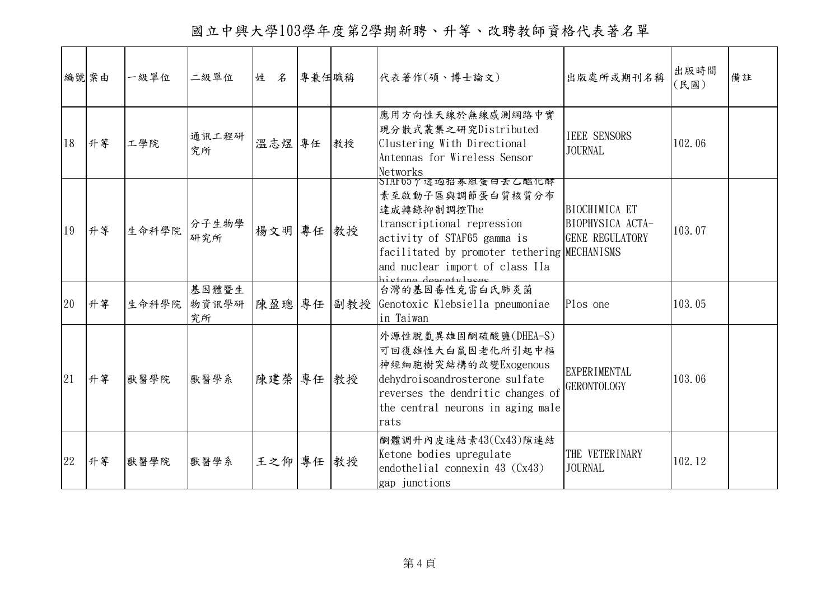國立中興大學103學年度第2學期新聘、升等、改聘教師資格代表著名單

|    | 編號案由 | 一級單位  | 二級單位                 | 姓 名    | 專兼任職稱 |    | 代表著作(碩、博士論文)                                                                                                                                                                                                                   | 出版處所或期刊名稱                                                   | 出版時間<br>(民國) | 備註 |
|----|------|-------|----------------------|--------|-------|----|--------------------------------------------------------------------------------------------------------------------------------------------------------------------------------------------------------------------------------|-------------------------------------------------------------|--------------|----|
| 18 | 升等   | 工學院   | 通訊工程研<br>究所          | 溫志煜 專任 |       | 教授 | 應用方向性天線於無線感測網路中實<br>現分散式叢集之研究Distributed<br>Clustering With Directional<br>Antennas for Wireless Sensor<br>Networks                                                                                                            | <b>IEEE SENSORS</b><br><b>JOURNAL</b>                       | 102.06       |    |
| 19 | 升等   | 生命科學院 | 分子生物學<br>研究所         | 楊文明 專任 |       | 教授 | SIAF657透過招募組蛋白去乙醯化酵<br>素至啟動子區與調節蛋白質核質分布<br>達成轉錄抑制調控The<br>transcriptional repression<br>activity of STAF65 gamma is<br>facilitated by promoter tethering MECHANISMS<br>and nuclear import of class IIa<br>histore descriptions | BIOCHIMICA ET<br>BIOPHYSICA ACTA-<br><b>GENE REGULATORY</b> | 103.07       |    |
| 20 | 升等   | 生命科學院 | 基因體暨生<br>物資訊學研<br>究所 | 陳盈璁 專任 |       |    | 台灣的基因毒性克雷白氏肺炎菌<br>副教授 Genotoxic Klebsiella pneumoniae<br>in Taiwan                                                                                                                                                             | Plos one                                                    | 103.05       |    |
| 21 | 升等   | 獸醫學院  | 獸醫學系                 | 陳建榮 專任 |       | 教授 | 外源性脫氫異雄固酮硫酸鹽(DHEA-S)<br>可回復雄性大白鼠因老化所引起中樞<br>神經細胞樹突結構的改變Exogenous<br>dehydroisoandrosterone sulfate<br>reverses the dendritic changes of<br>the central neurons in aging male<br>rats                                           | <b>EXPERIMENTAL</b><br><b>GERONTOLOGY</b>                   | 103.06       |    |
| 22 | 升等   | 獸醫學院  | 獸醫學系                 | 王之仰 專任 |       | 教授 | 酮體調升內皮連結素43(Cx43)隙連結<br>Ketone bodies upregulate<br>endothelial connexin 43 (Cx43)<br>gap junctions                                                                                                                            | THE VETERINARY<br><b>JOURNAL</b>                            | 102.12       |    |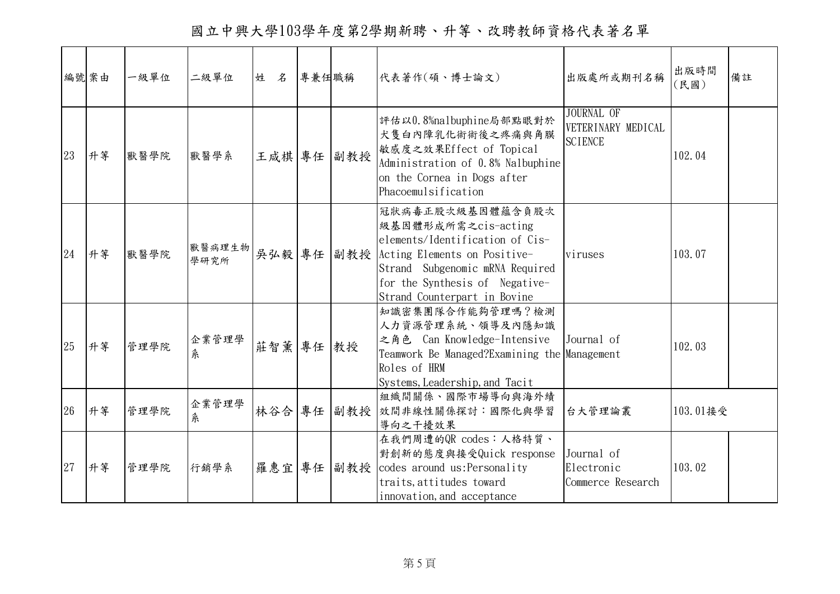國立中興大學103學年度第2學期新聘、升等、改聘教師資格代表著名單

|    | 編號案由 | 一級單位 | 二級單位           | 姓 名    | 專兼任職稱 |     | 代表著作(碩、博士論文)                                                                                                                                                                                                        | 出版處所或期刊名稱                                                 | 出版時間<br>(民國) | 備註 |
|----|------|------|----------------|--------|-------|-----|---------------------------------------------------------------------------------------------------------------------------------------------------------------------------------------------------------------------|-----------------------------------------------------------|--------------|----|
| 23 | 升等   | 獸醫學院 | 獸醫學系           | 王咸棋 專任 |       | 副教授 | 評估以0.8%nalbuphine局部點眼對於<br>犬隻白內障乳化術術後之疼痛與角膜<br>敏感度之效果Effect of Topical<br>Administration of 0.8% Nalbuphine<br>on the Cornea in Dogs after<br>Phacoemulsification                                                   | <b>JOURNAL OF</b><br>VETERINARY MEDICAL<br><b>SCIENCE</b> | 102.04       |    |
| 24 | 升等   | 獸醫學院 | 獸醫病理生物<br>學研究所 | 吳弘毅 專任 |       |     | 冠狀病毒正股次級基因體蘊含負股次<br>級基因體形成所需之cis-acting<br>elements/Identification of Cis-<br>副教授 Acting Elements on Positive-<br>Strand Subgenomic mRNA Required<br>for the Synthesis of Negative-<br>Strand Counterpart in Bovine | viruses                                                   | 103.07       |    |
| 25 | 升等   | 管理學院 | 企業管理學<br>条     | 莊智薰    | 專任    | 教授  | 知識密集團隊合作能夠管理嗎?檢測<br>人力資源管理系統、領導及內隱知識<br>之角色 Can Knowledge-Intensive<br>Teamwork Be Managed?Examining the Management<br>Roles of HRM<br>Systems, Leadership, and Tacit                                               | Journal of                                                | 102.03       |    |
| 26 | 升等   | 管理學院 | 企業管理學<br>糸     | 林谷合 專任 |       |     | 組織間關係、國際市場導向與海外績<br>副教授 效間非線性關係探討:國際化與學習<br>導向之干擾效果                                                                                                                                                                 | 台大管理論叢                                                    | 103.01接受     |    |
| 27 | 升等   | 管理學院 | 行銷學系           | 羅惠宜    | 專任    |     | 在我們周遭的QR codes: 人格特質、<br>對創新的態度與接受Quick response<br>副教授 codes around us: Personality<br>traits, attitudes toward<br>innovation, and acceptance                                                                      | Journal of<br>Electronic<br>Commerce Research             | 103.02       |    |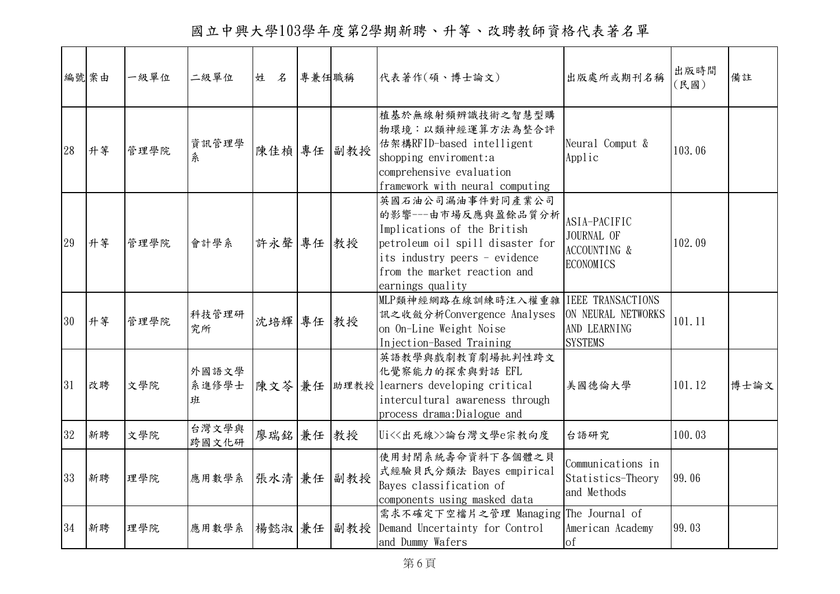國立中興大學103學年度第2學期新聘、升等、改聘教師資格代表著名單

|    | 編號案由 | 一級單位 | 二級單位                | 姓<br>$\mathcal{Z}$ | 專兼任職稱 |     | 代表著作(碩、博士論文)                                                                                                                                                                                   | 出版處所或期刊名稱                                                                        | 出版時間<br>(民國) | 備註   |
|----|------|------|---------------------|--------------------|-------|-----|------------------------------------------------------------------------------------------------------------------------------------------------------------------------------------------------|----------------------------------------------------------------------------------|--------------|------|
| 28 | 升等   | 管理學院 | 資訊管理學<br>糸          | 陳佳楨 專任             |       | 副教授 | 植基於無線射頻辨識技術之智慧型購<br>物環境:以類神經運算方法為整合評<br>估架構RFID-based intelligent<br>shopping enviroment:a<br>comprehensive evaluation<br>framework with neural computing                                      | Neural Comput &<br>Applic                                                        | 103.06       |      |
| 29 | 升等   | 管理學院 | 會計學系                | 許永聲 專任 教授          |       |     | 英國石油公司漏油事件對同產業公司<br>的影響---由市場反應與盈餘品質分析<br>Implications of the British<br>petroleum oil spill disaster for<br>its industry peers - evidence<br>from the market reaction and<br>earnings quality | ASIA-PACIFIC<br>JOURNAL OF<br>ACCOUNTING &<br><b>ECONOMICS</b>                   | 102.09       |      |
| 30 | 升等   | 管理學院 | 科技管理研<br>究所         | 沈培輝 專任             |       | 教授  | MLP類神經網路在線訓練時注入權重雜<br>訊之收斂分析Convergence Analyses<br>on On-Line Weight Noise<br>Injection-Based Training                                                                                        | <b>IEEE TRANSACTIONS</b><br>ON NEURAL NETWORKS<br>AND LEARNING<br><b>SYSTEMS</b> | 101.11       |      |
| 31 | 改聘   | 文學院  | 外國語文學<br>系進修學士<br>班 | 陳文苓 兼任             |       |     | 英語教學與戲劇教育劇場批判性跨文<br>化覺察能力的探索與對話 EFL<br> 助理教授   learners developing critical<br>intercultural awareness through<br>process drama: Dialogue and                                                  | 美國德倫大學                                                                           | 101.12       | 博士論文 |
| 32 | 新聘   | 文學院  | 台灣文學與<br>跨國文化研      | 廖瑞銘 兼任 教授          |       |     | Ui<<出死線>>論台灣文學e宗教向度                                                                                                                                                                            | 台語研究                                                                             | 100.03       |      |
| 33 | 新聘   | 理學院  | 應用數學系               | 張水清 兼任             |       | 副教授 | 使用封閉系統壽命資料下各個體之貝<br>式經驗貝氏分類法 Bayes empirical<br>Bayes classification of<br>components using masked data                                                                                        | Communications in<br>Statistics-Theory<br>and Methods                            | 99.06        |      |
| 34 | 新聘   | 理學院  | 應用數學系               | 楊懿淑 兼任             |       |     | 需求不確定下空檔片之管理 Managing<br>副教授 Demand Uncertainty for Control<br>and Dummy Wafers                                                                                                                | The Journal of<br>American Academy<br>of                                         | 99.03        |      |